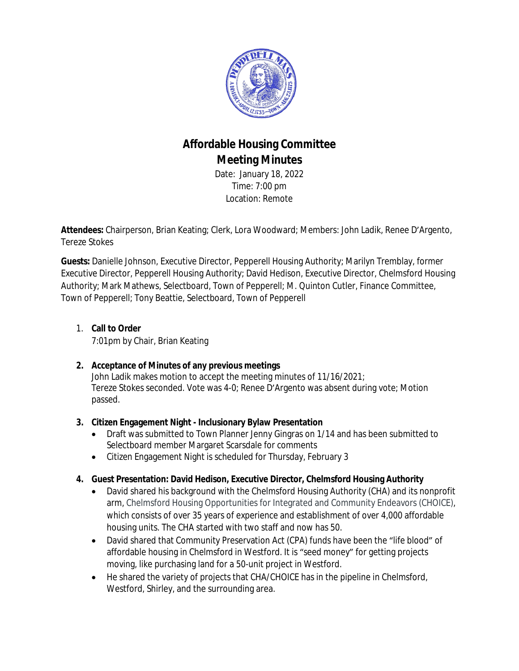

# **Affordable Housing Committee Meeting Minutes**

Date: January 18, 2022 Time: 7:00 pm Location: Remote

**Attendees:** Chairperson, Brian Keating; Clerk, Lora Woodward; Members: John Ladik, Renee D'Argento, Tereze Stokes

**Guests:** Danielle Johnson, Executive Director, Pepperell Housing Authority; Marilyn Tremblay, former Executive Director, Pepperell Housing Authority; David Hedison, Executive Director, Chelmsford Housing Authority; Mark Mathews, Selectboard, Town of Pepperell; M. Quinton Cutler, Finance Committee, Town of Pepperell; Tony Beattie, Selectboard, Town of Pepperell

#### 1. **Call to Order**

7:01pm by Chair, Brian Keating

#### **2. Acceptance of Minutes of any previous meetings**

John Ladik makes motion to accept the meeting minutes of 11/16/2021; Tereze Stokes seconded. Vote was 4-0; Renee D'Argento was absent during vote; Motion passed.

#### **3. Citizen Engagement Night - Inclusionary Bylaw Presentation**

- Draft was submitted to Town Planner Jenny Gingras on 1/14 and has been submitted to Selectboard member Margaret Scarsdale for comments
- Citizen Engagement Night is scheduled for Thursday, February 3

#### **4. Guest Presentation: David Hedison, Executive Director, Chelmsford Housing Authority**

- David shared his background with the Chelmsford Housing Authority (CHA) and its nonprofit arm, Chelmsford Housing Opportunities for Integrated and Community Endeavors (CHOICE), which consists of over 35 years of experience and establishment of over 4,000 affordable housing units. The CHA started with two staff and now has 50.
- David shared that Community Preservation Act (CPA) funds have been the "life blood" of affordable housing in Chelmsford in Westford. It is "seed money" for getting projects moving, like purchasing land for a 50-unit project in Westford.
- He shared the variety of projects that CHA/CHOICE has in the pipeline in Chelmsford, Westford, Shirley, and the surrounding area.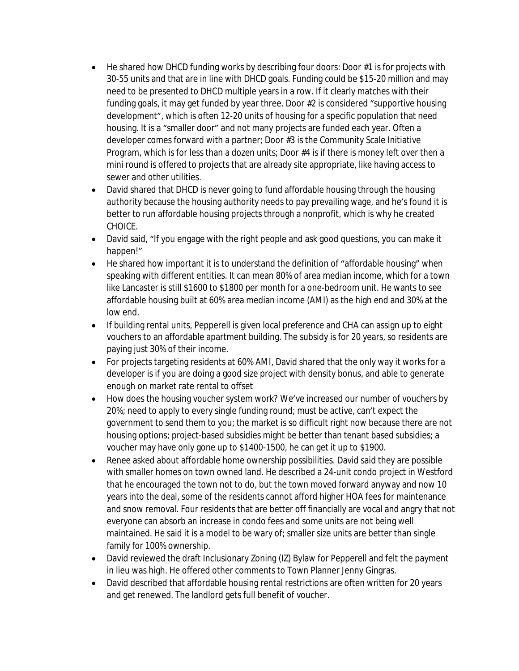- He shared how DHCD funding works by describing four doors: Door #1 is for projects with 30-55 units and that are in line with DHCD goals. Funding could be \$15-20 million and may need to be presented to DHCD multiple years in a row. If it clearly matches with their funding goals, it may get funded by year three. Door #2 is considered "supportive housing development", which is often 12-20 units of housing for a specific population that need housing. It is a "smaller door" and not many projects are funded each year. Often a developer comes forward with a partner; Door #3 is the Community Scale Initiative Program, which is for less than a dozen units; Door #4 is if there is money left over then a mini round is offered to projects that are already site appropriate, like having access to sewer and other utilities.
- David shared that DHCD is never going to fund affordable housing through the housing authority because the housing authority needs to pay prevailing wage, and he's found it is better to run affordable housing projects through a nonprofit, which is why he created CHOICE.
- David said, "If you engage with the right people and ask good questions, you can make it happen!"
- He shared how important it is to understand the definition of "affordable housing" when speaking with different entities. It can mean 80% of area median income, which for a town like Lancaster is still \$1600 to \$1800 per month for a one-bedroom unit. He wants to see affordable housing built at 60% area median income (AMI) as the high end and 30% at the low end.
- If building rental units, Pepperell is given local preference and CHA can assign up to eight vouchers to an affordable apartment building. The subsidy is for 20 years, so residents are paying just 30% of their income.
- For projects targeting residents at 60% AMI, David shared that the only way it works for a developer is if you are doing a good size project with density bonus, and able to generate enough on market rate rental to offset
- How does the housing voucher system work? We've increased our number of vouchers by 20%; need to apply to every single funding round; must be active, can't expect the government to send them to you; the market is so difficult right now because there are not housing options; project-based subsidies might be better than tenant based subsidies; a voucher may have only gone up to \$1400-1500, he can get it up to \$1900.
- Renee asked about affordable home ownership possibilities. David said they are possible with smaller homes on town owned land. He described a 24-unit condo project in Westford that he encouraged the town not to do, but the town moved forward anyway and now 10 years into the deal, some of the residents cannot afford higher HOA fees for maintenance and snow removal. Four residents that are better off financially are vocal and angry that not everyone can absorb an increase in condo fees and some units are not being well maintained. He said it is a model to be wary of; smaller size units are better than single family for 100% ownership.
- David reviewed the draft Inclusionary Zoning (IZ) Bylaw for Pepperell and felt the payment in lieu was high. He offered other comments to Town Planner Jenny Gingras.
- David described that affordable housing rental restrictions are often written for 20 years and get renewed. The landlord gets full benefit of voucher.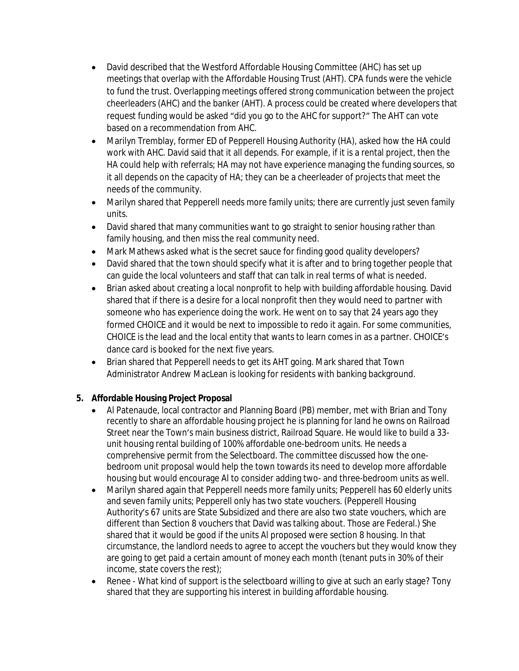- David described that the Westford Affordable Housing Committee (AHC) has set up meetings that overlap with the Affordable Housing Trust (AHT). CPA funds were the vehicle to fund the trust. Overlapping meetings offered strong communication between the project cheerleaders (AHC) and the banker (AHT). A process could be created where developers that request funding would be asked "did you go to the AHC for support?" The AHT can vote based on a recommendation from AHC.
- Marilyn Tremblay, former ED of Pepperell Housing Authority (HA), asked how the HA could work with AHC. David said that it all depends. For example, if it is a rental project, then the HA could help with referrals; HA may not have experience managing the funding sources, so it all depends on the capacity of HA; they can be a cheerleader of projects that meet the needs of the community.
- Marilyn shared that Pepperell needs more family units; there are currently just seven family units.
- David shared that many communities want to go straight to senior housing rather than family housing, and then miss the real community need.
- Mark Mathews asked what is the secret sauce for finding good quality developers?
- David shared that the town should specify what it is after and to bring together people that can guide the local volunteers and staff that can talk in real terms of what is needed.
- Brian asked about creating a local nonprofit to help with building affordable housing. David shared that if there is a desire for a local nonprofit then they would need to partner with someone who has experience doing the work. He went on to say that 24 years ago they formed CHOICE and it would be next to impossible to redo it again. For some communities, CHOICE is the lead and the local entity that wants to learn comes in as a partner. CHOICE's dance card is booked for the next five years.
- Brian shared that Pepperell needs to get its AHT going. Mark shared that Town Administrator Andrew MacLean is looking for residents with banking background.

#### **5. Affordable Housing Project Proposal**

- Al Patenaude, local contractor and Planning Board (PB) member, met with Brian and Tony recently to share an affordable housing project he is planning for land he owns on Railroad Street near the Town's main business district, Railroad Square. He would like to build a 33 unit housing rental building of 100% affordable one-bedroom units. He needs a comprehensive permit from the Selectboard. The committee discussed how the onebedroom unit proposal would help the town towards its need to develop more affordable housing but would encourage Al to consider adding two- and three-bedroom units as well.
- Marilyn shared again that Pepperell needs more family units; Pepperell has 60 elderly units and seven family units; Pepperell only has two state vouchers. (Pepperell Housing Authority's 67 units are State Subsidized and there are also two state vouchers, which are different than Section 8 vouchers that David was talking about. Those are Federal.) She shared that it would be good if the units Al proposed were section 8 housing. In that circumstance, the landlord needs to agree to accept the vouchers but they would know they are going to get paid a certain amount of money each month (tenant puts in 30% of their income, state covers the rest);
- Renee What kind of support is the selectboard willing to give at such an early stage? Tony shared that they are supporting his interest in building affordable housing.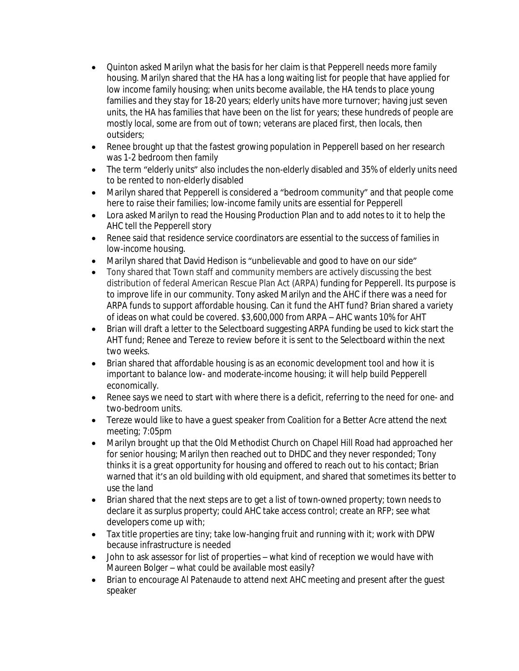- Quinton asked Marilyn what the basis for her claim is that Pepperell needs more family housing. Marilyn shared that the HA has a long waiting list for people that have applied for low income family housing; when units become available, the HA tends to place young families and they stay for 18-20 years; elderly units have more turnover; having just seven units, the HA has families that have been on the list for years; these hundreds of people are mostly local, some are from out of town; veterans are placed first, then locals, then outsiders;
- Renee brought up that the fastest growing population in Pepperell based on her research was 1-2 bedroom then family
- The term "elderly units" also includes the non-elderly disabled and 35% of elderly units need to be rented to non-elderly disabled
- Marilyn shared that Pepperell is considered a "bedroom community" and that people come here to raise their families; low-income family units are essential for Pepperell
- Lora asked Marilyn to read the Housing Production Plan and to add notes to it to help the AHC tell the Pepperell story
- Renee said that residence service coordinators are essential to the success of families in low-income housing.
- Marilyn shared that David Hedison is "unbelievable and good to have on our side"
- Tony shared that Town staff and community members are actively discussing the best distribution of federal American Rescue Plan Act (ARPA) funding for Pepperell. Its purpose is to improve life in our community. Tony asked Marilyn and the AHC if there was a need for ARPA funds to support affordable housing. Can it fund the AHT fund? Brian shared a variety of ideas on what could be covered. \$3,600,000 from ARPA – AHC wants 10% for AHT
- Brian will draft a letter to the Selectboard suggesting ARPA funding be used to kick start the AHT fund; Renee and Tereze to review before it is sent to the Selectboard within the next two weeks.
- Brian shared that affordable housing is as an economic development tool and how it is important to balance low- and moderate-income housing; it will help build Pepperell economically.
- Renee says we need to start with where there is a deficit, referring to the need for one- and two-bedroom units.
- Tereze would like to have a guest speaker from Coalition for a Better Acre attend the next meeting; 7:05pm
- Marilyn brought up that the Old Methodist Church on Chapel Hill Road had approached her for senior housing; Marilyn then reached out to DHDC and they never responded; Tony thinks it is a great opportunity for housing and offered to reach out to his contact; Brian warned that it's an old building with old equipment, and shared that sometimes its better to use the land
- Brian shared that the next steps are to get a list of town-owned property; town needs to declare it as surplus property; could AHC take access control; create an RFP; see what developers come up with;
- Tax title properties are tiny; take low-hanging fruit and running with it; work with DPW because infrastructure is needed
- John to ask assessor for list of properties what kind of reception we would have with Maureen Bolger – what could be available most easily?
- Brian to encourage Al Patenaude to attend next AHC meeting and present after the guest speaker